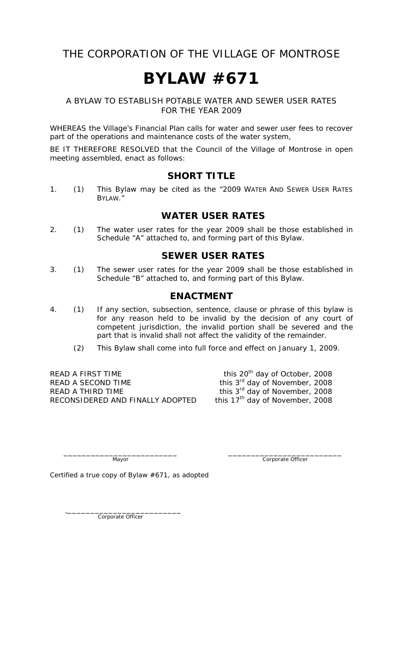## THE CORPORATION OF THE VILLAGE OF MONTROSE

# **BYLAW #671**

#### A BYLAW TO ESTABLISH POTABLE WATER AND SEWER USER RATES FOR THE YEAR 2009

WHEREAS the Village's Financial Plan calls for water and sewer user fees to recover part of the operations and maintenance costs of the water system,

BE IT THEREFORE RESOLVED that the Council of the Village of Montrose in open meeting assembled, enact as follows:

#### **SHORT TITLE**

1. (1) This Bylaw may be cited as the "2009 WATER AND SEWER USER RATES BYLAW."

### **WATER USER RATES**

2. (1) The water user rates for the year 2009 shall be those established in Schedule "A" attached to, and forming part of this Bylaw.

#### **SEWER USER RATES**

3. (1) The sewer user rates for the year 2009 shall be those established in Schedule "B" attached to, and forming part of this Bylaw.

#### **ENACTMENT**

- 4. (1) If any section, subsection, sentence, clause or phrase of this bylaw is for any reason held to be invalid by the decision of any court of competent jurisdiction, the invalid portion shall be severed and the part that is invalid shall not affect the validity of the remainder.
	- (2) This Bylaw shall come into full force and effect on January 1, 2009.

READ A FIRST TIME this  $20^{th}$  day of October, 2008<br>READ A SECOND TIME this  $3^{rd}$  day of November, 2008 READ A THIRD TIME this  $3^{rd}$  day of November, 2008<br>RECONSIDERED AND FINALLY ADOPTED this  $17^{th}$  day of November, 2008 RECONSIDERED AND FINALLY ADOPTED

this 3<sup>rd</sup> day of November, 2008

\_\_\_\_\_\_\_\_\_\_\_\_\_\_\_\_\_\_\_\_\_\_\_\_\_ \_\_\_\_\_\_\_\_\_\_\_\_\_\_\_\_\_\_\_\_\_\_\_\_\_ Mayor Corporate Officer

Certified a true copy of Bylaw #671, as adopted

Corporate Officer